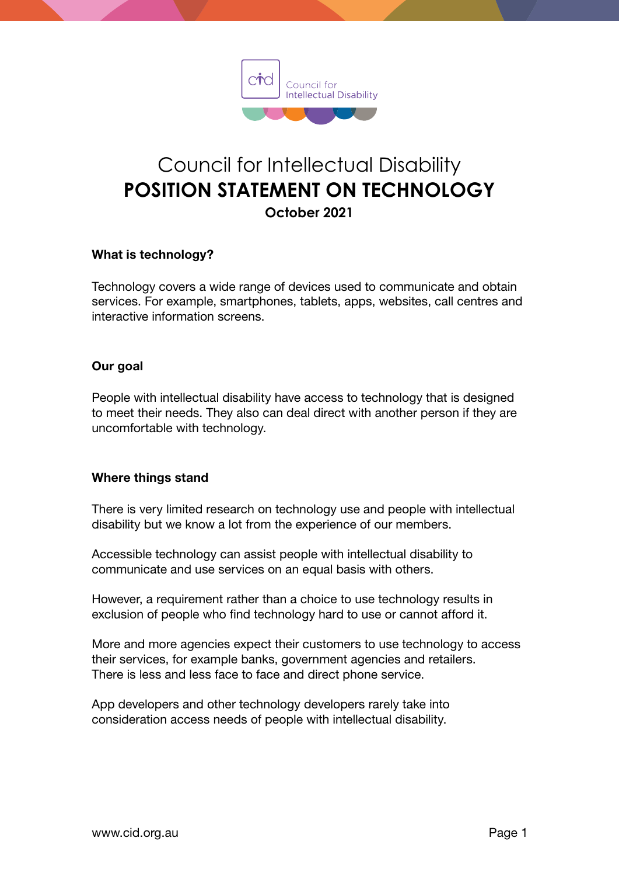

# Council for Intellectual Disability **POSITION STATEMENT ON TECHNOLOGY October 2021**

## What is technology?

Technology covers a wide range of devices used to communicate and obtain services. For example, smartphones, tablets, apps, websites, call centres and interactive information screens.

## Our goal

People with intellectual disability have access to technology that is designed to meet their needs. They also can deal direct with another person if they are uncomfortable with technology.

## Where things stand

There is very limited research on technology use and people with intellectual disability but we know a lot from the experience of our members.

Accessible technology can assist people with intellectual disability to communicate and use services on an equal basis with others.

However, a requirement rather than a choice to use technology results in exclusion of people who find technology hard to use or cannot afford it.

More and more agencies expect their customers to use technology to access their services, for example banks, government agencies and retailers. There is less and less face to face and direct phone service.

App developers and other technology developers rarely take into consideration access needs of people with intellectual disability.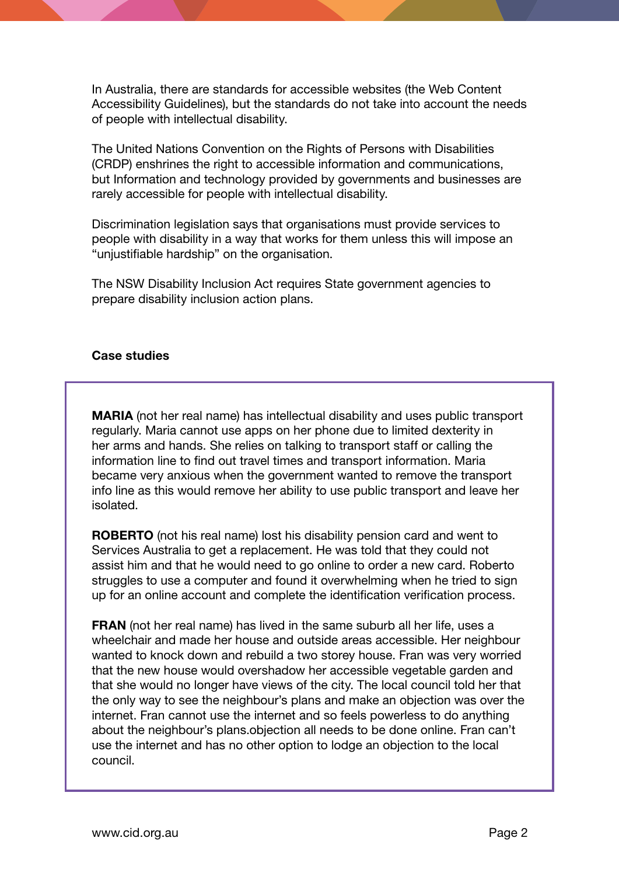In Australia, there are standards for accessible websites (the Web Content Accessibility Guidelines), but the standards do not take into account the needs of people with intellectual disability.

The United Nations Convention on the Rights of Persons with Disabilities (CRDP) enshrines the right to accessible information and communications, but Information and technology provided by governments and businesses are rarely accessible for people with intellectual disability.

Discrimination legislation says that organisations must provide services to people with disability in a way that works for them unless this will impose an "unjustifiable hardship" on the organisation.

The NSW Disability Inclusion Act requires State government agencies to prepare disability inclusion action plans.

#### Case studies

MARIA (not her real name) has intellectual disability and uses public transport regularly. Maria cannot use apps on her phone due to limited dexterity in her arms and hands. She relies on talking to transport staff or calling the information line to find out travel times and transport information. Maria became very anxious when the government wanted to remove the transport info line as this would remove her ability to use public transport and leave her isolated.

ROBERTO (not his real name) lost his disability pension card and went to Services Australia to get a replacement. He was told that they could not assist him and that he would need to go online to order a new card. Roberto struggles to use a computer and found it overwhelming when he tried to sign up for an online account and complete the identification verification process.

**FRAN** (not her real name) has lived in the same suburb all her life, uses a wheelchair and made her house and outside areas accessible. Her neighbour wanted to knock down and rebuild a two storey house. Fran was very worried that the new house would overshadow her accessible vegetable garden and that she would no longer have views of the city. The local council told her that the only way to see the neighbour's plans and make an objection was over the internet. Fran cannot use the internet and so feels powerless to do anything about the neighbour's plans.objection all needs to be done online. Fran can't use the internet and has no other option to lodge an objection to the local council.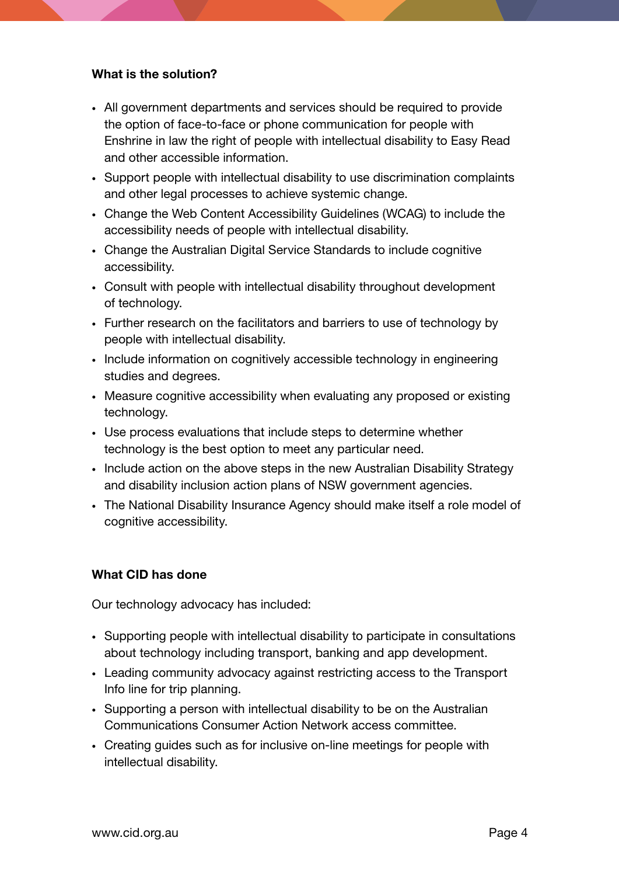# What is the solution?

- All government departments and services should be required to provide the option of face-to-face or phone communication for people with Enshrine in law the right of people with intellectual disability to Easy Read and other accessible information.
- Support people with intellectual disability to use discrimination complaints and other legal processes to achieve systemic change.
- Change the Web Content Accessibility Guidelines (WCAG) to include the accessibility needs of people with intellectual disability.
- Change the Australian Digital Service Standards to include cognitive accessibility.
- Consult with people with intellectual disability throughout development of technology.
- Further research on the facilitators and barriers to use of technology by people with intellectual disability.
- Include information on cognitively accessible technology in engineering studies and degrees.
- Measure cognitive accessibility when evaluating any proposed or existing technology.
- Use process evaluations that include steps to determine whether technology is the best option to meet any particular need.
- Include action on the above steps in the new Australian Disability Strategy and disability inclusion action plans of NSW government agencies.
- The National Disability Insurance Agency should make itself a role model of cognitive accessibility.

# What CID has done

Our technology advocacy has included:

- Supporting people with intellectual disability to participate in consultations about technology including transport, banking and app development.
- Leading community advocacy against restricting access to the Transport Info line for trip planning.
- Supporting a person with intellectual disability to be on the Australian Communications Consumer Action Network access committee.
- Creating guides such as for inclusive on-line meetings for people with intellectual disability.